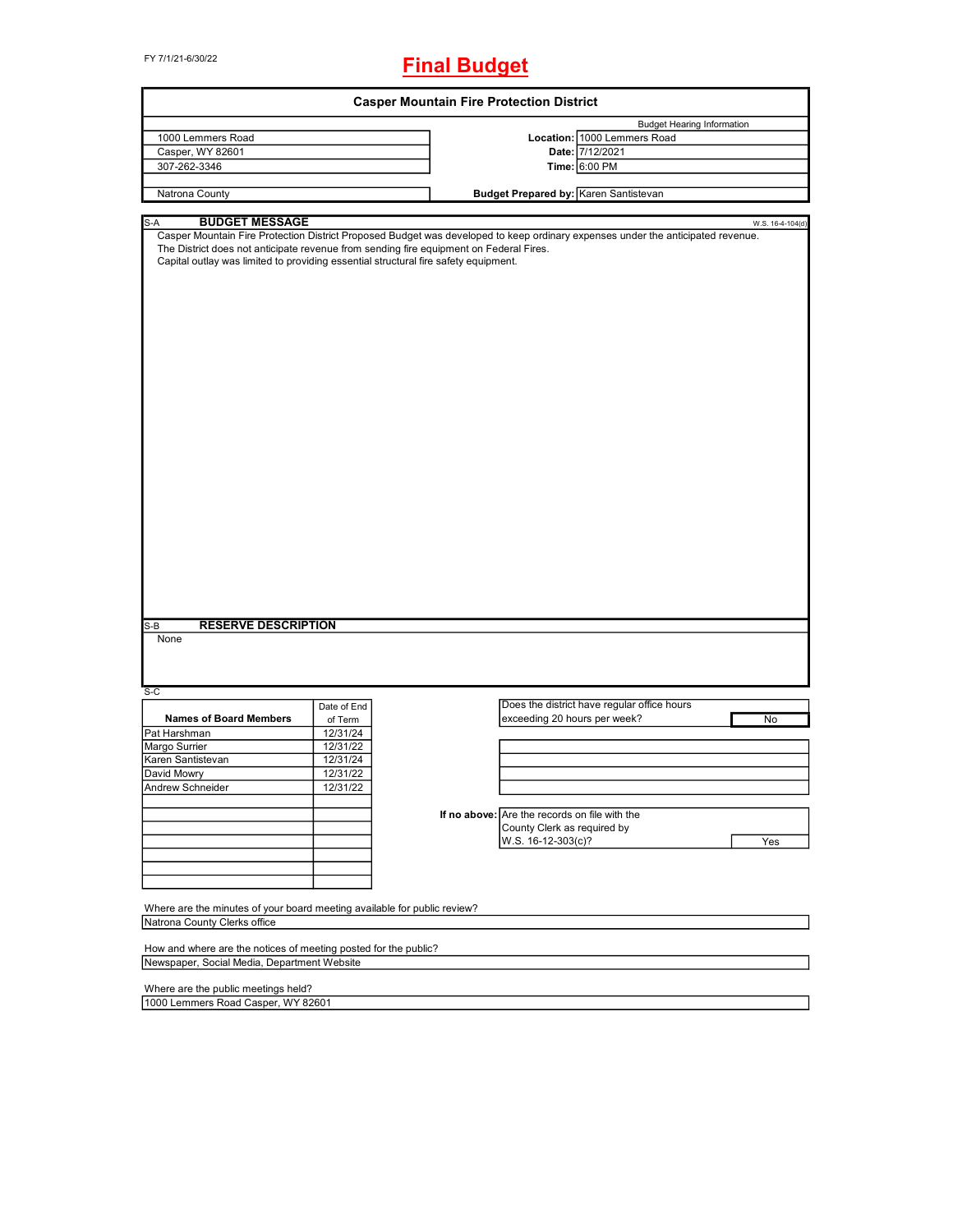# FY 7/1/21-6/30/22 **Final Budget**

| <b>Casper Mountain Fire Protection District</b>                                                                                                                                                                                                                       |             |                                                                                                                                 |                                             |                  |  |
|-----------------------------------------------------------------------------------------------------------------------------------------------------------------------------------------------------------------------------------------------------------------------|-------------|---------------------------------------------------------------------------------------------------------------------------------|---------------------------------------------|------------------|--|
|                                                                                                                                                                                                                                                                       |             |                                                                                                                                 | <b>Budget Hearing Information</b>           |                  |  |
| 1000 Lemmers Road                                                                                                                                                                                                                                                     |             |                                                                                                                                 | Location: 1000 Lemmers Road                 |                  |  |
| Casper, WY 82601                                                                                                                                                                                                                                                      |             |                                                                                                                                 | Date: 7/12/2021                             |                  |  |
| 307-262-3346                                                                                                                                                                                                                                                          |             |                                                                                                                                 | Time: 6:00 PM                               |                  |  |
|                                                                                                                                                                                                                                                                       |             |                                                                                                                                 |                                             |                  |  |
| Natrona County                                                                                                                                                                                                                                                        |             | Budget Prepared by: Karen Santistevan                                                                                           |                                             |                  |  |
|                                                                                                                                                                                                                                                                       |             |                                                                                                                                 |                                             |                  |  |
| S-A<br><b>BUDGET MESSAGE</b><br>The District does not anticipate revenue from sending fire equipment on Federal Fires.<br>Capital outlay was limited to providing essential structural fire safety equipment.<br><b>RESERVE DESCRIPTION</b><br>$S-B$<br>None<br>$S-C$ |             | Casper Mountain Fire Protection District Proposed Budget was developed to keep ordinary expenses under the anticipated revenue. |                                             | W.S. 16-4-104(d) |  |
|                                                                                                                                                                                                                                                                       | Date of End |                                                                                                                                 | Does the district have regular office hours |                  |  |
| <b>Names of Board Members</b>                                                                                                                                                                                                                                         | of Term     | exceeding 20 hours per week?                                                                                                    |                                             | No               |  |
| Pat Harshman                                                                                                                                                                                                                                                          | 12/31/24    |                                                                                                                                 |                                             |                  |  |
| Margo Surrier                                                                                                                                                                                                                                                         | 12/31/22    |                                                                                                                                 |                                             |                  |  |
| Karen Santistevan                                                                                                                                                                                                                                                     | 12/31/24    |                                                                                                                                 |                                             |                  |  |
| David Mowry                                                                                                                                                                                                                                                           | 12/31/22    |                                                                                                                                 |                                             |                  |  |
| Andrew Schneider                                                                                                                                                                                                                                                      | 12/31/22    |                                                                                                                                 |                                             |                  |  |
|                                                                                                                                                                                                                                                                       |             |                                                                                                                                 |                                             |                  |  |
|                                                                                                                                                                                                                                                                       |             | If no above: Are the records on file with the                                                                                   |                                             |                  |  |
|                                                                                                                                                                                                                                                                       |             | County Clerk as required by                                                                                                     |                                             |                  |  |
|                                                                                                                                                                                                                                                                       |             | W.S. 16-12-303(c)?                                                                                                              |                                             | Yes              |  |
|                                                                                                                                                                                                                                                                       |             |                                                                                                                                 |                                             |                  |  |
|                                                                                                                                                                                                                                                                       |             |                                                                                                                                 |                                             |                  |  |
|                                                                                                                                                                                                                                                                       |             |                                                                                                                                 |                                             |                  |  |
| Where are the minutes of your board meeting available for public review?<br>Natrona County Clerks office                                                                                                                                                              |             |                                                                                                                                 |                                             |                  |  |
| How and where are the notices of meeting posted for the public?                                                                                                                                                                                                       |             |                                                                                                                                 |                                             |                  |  |
| Newspaper, Social Media, Department Website                                                                                                                                                                                                                           |             |                                                                                                                                 |                                             |                  |  |
|                                                                                                                                                                                                                                                                       |             |                                                                                                                                 |                                             |                  |  |
| Where are the public meetings held?                                                                                                                                                                                                                                   |             |                                                                                                                                 |                                             |                  |  |
| 1000 Lemmers Road Casper, WY 82601                                                                                                                                                                                                                                    |             |                                                                                                                                 |                                             |                  |  |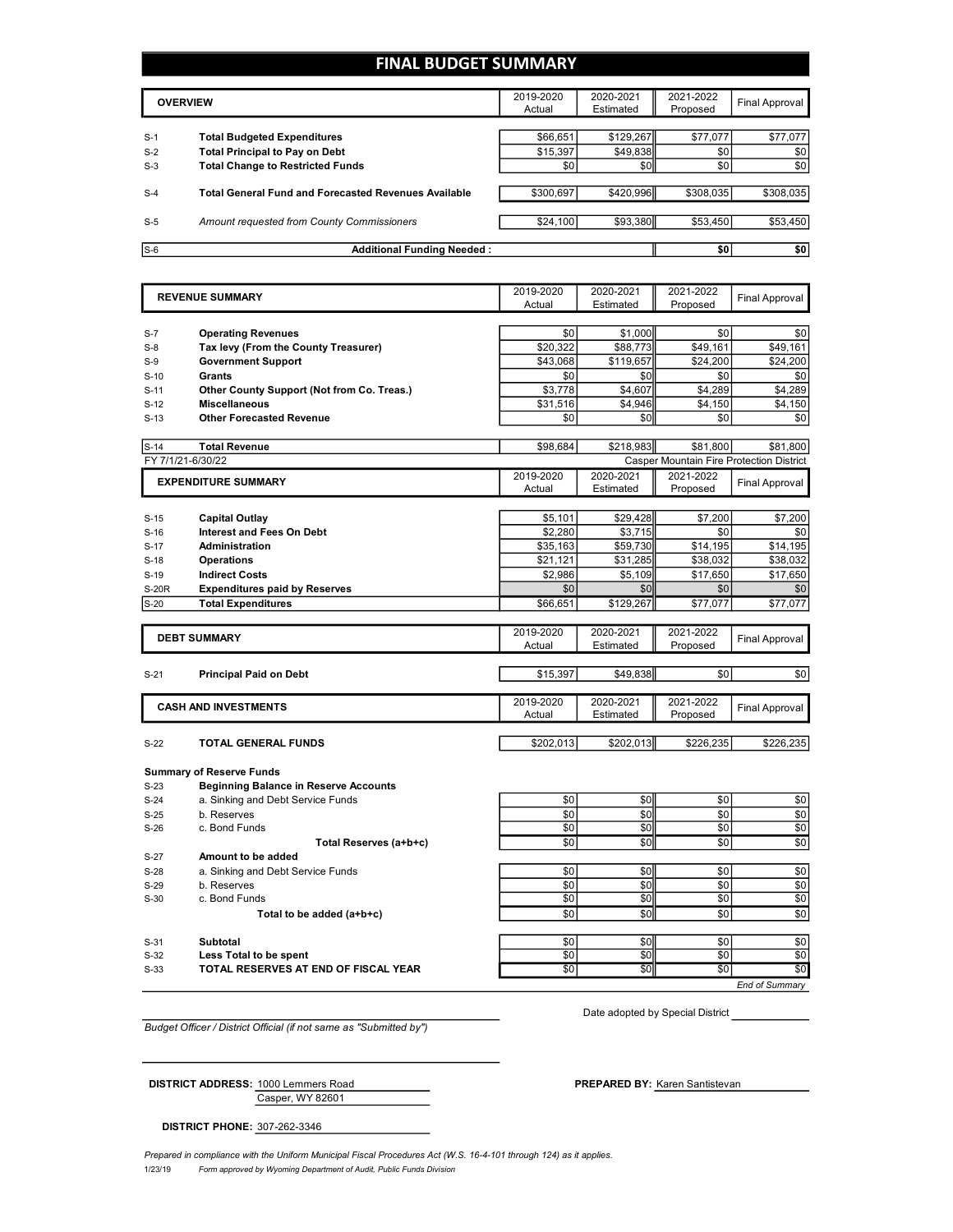### FINAL BUDGET SUMMARY

| <b>OVERVIEW</b> |                                                             | 2019-2020<br>Actual | 2020-2021<br>Estimated | 2021-2022<br>Proposed | Final Approval |
|-----------------|-------------------------------------------------------------|---------------------|------------------------|-----------------------|----------------|
|                 |                                                             |                     |                        |                       |                |
| $S-1$           | <b>Total Budgeted Expenditures</b>                          | \$66,651            | \$129,267              | \$77,077              | \$77,077       |
| $S-2$           | <b>Total Principal to Pay on Debt</b>                       | \$15,397            | \$49,838               | \$0                   | \$0            |
| $S-3$           | <b>Total Change to Restricted Funds</b>                     | \$0                 | \$0                    | \$0                   | \$0            |
|                 |                                                             |                     |                        |                       |                |
| $S-4$           | <b>Total General Fund and Forecasted Revenues Available</b> | \$300.697           | \$420,996              | \$308,035             | \$308,035      |
|                 |                                                             |                     |                        |                       |                |
| $S-5$           | Amount requested from County Commissioners                  | \$24,100            | \$93,380               | \$53,450              | \$53,450       |
|                 |                                                             |                     |                        |                       |                |
| $S-6$           | <b>Additional Funding Needed:</b>                           |                     |                        | \$0                   | \$0            |

|                   | <b>REVENUE SUMMARY</b>                       | 2019-2020<br>Actual | 2020-2021              | 2021-2022             | <b>Final Approval</b>                           |
|-------------------|----------------------------------------------|---------------------|------------------------|-----------------------|-------------------------------------------------|
|                   |                                              |                     | Estimated              | Proposed              |                                                 |
|                   |                                              |                     |                        |                       |                                                 |
| $S-7$             | <b>Operating Revenues</b>                    | \$0                 | \$1,000                | \$0                   | \$0                                             |
| $S-8$             | Tax levy (From the County Treasurer)         | \$20,322            | \$88,773               | \$49,161              | \$49,161                                        |
| $S-9$             | <b>Government Support</b>                    | \$43,068            | \$119,657              | \$24,200              | \$24,200                                        |
| $S-10$            | <b>Grants</b>                                | \$0                 | \$0                    | \$0                   | \$0                                             |
| $S-11$            | Other County Support (Not from Co. Treas.)   | \$3,778             | \$4,607                | \$4,289               | \$4,289                                         |
| $S-12$            | <b>Miscellaneous</b>                         | \$31,516            | \$4,946                | \$4,150               | \$4,150                                         |
| $S-13$            | <b>Other Forecasted Revenue</b>              | \$0                 | \$0                    | \$0                   | \$0                                             |
| $S-14$            | <b>Total Revenue</b>                         | \$98,684            | \$218,983              | \$81,800              | \$81,800                                        |
| FY 7/1/21-6/30/22 |                                              |                     |                        |                       | <b>Casper Mountain Fire Protection District</b> |
|                   | <b>EXPENDITURE SUMMARY</b>                   | 2019-2020           | 2020-2021              | 2021-2022             |                                                 |
|                   |                                              | Actual              | Estimated              | Proposed              | Final Approval                                  |
|                   |                                              |                     |                        |                       |                                                 |
| $S-15$            | <b>Capital Outlay</b>                        | \$5,101             | \$29,428               | \$7,200               | \$7,200                                         |
| $S-16$            | <b>Interest and Fees On Debt</b>             | \$2,280             | \$3,715                | \$0                   | \$0                                             |
| $S-17$            | Administration                               | \$35,163            | \$59,730               | \$14,195              | \$14,195                                        |
| $S-18$            | <b>Operations</b>                            | \$21,121            | \$31,285               | \$38,032              | \$38,032                                        |
| $S-19$            | <b>Indirect Costs</b>                        | \$2.986             | \$5.109                | \$17.650              | \$17,650                                        |
| <b>S-20R</b>      | <b>Expenditures paid by Reserves</b>         | \$0                 | \$0                    | \$0                   | \$0                                             |
| $S-20$            | <b>Total Expenditures</b>                    | \$66,651            | \$129,267              | \$77,077              | \$77,077                                        |
|                   |                                              |                     |                        |                       |                                                 |
|                   | <b>DEBT SUMMARY</b>                          | 2019-2020<br>Actual | 2020-2021<br>Estimated | 2021-2022<br>Proposed | <b>Final Approval</b>                           |
|                   |                                              |                     |                        |                       |                                                 |
| $S-21$            | <b>Principal Paid on Debt</b>                | \$15,397            | \$49,838               | \$0                   | \$0                                             |
|                   |                                              |                     |                        |                       |                                                 |
|                   | <b>CASH AND INVESTMENTS</b>                  | 2019-2020           | 2020-2021              | 2021-2022             | Final Approval                                  |
|                   |                                              | Actual              | Estimated              | Proposed              |                                                 |
| $S-22$            | <b>TOTAL GENERAL FUNDS</b>                   | \$202,013           | \$202,013              | \$226,235             | \$226,235                                       |
|                   |                                              |                     |                        |                       |                                                 |
|                   | <b>Summary of Reserve Funds</b>              |                     |                        |                       |                                                 |
| $S-23$            | <b>Beginning Balance in Reserve Accounts</b> |                     |                        |                       |                                                 |
| $S-24$            | a. Sinking and Debt Service Funds            | \$0                 | \$0                    | \$0                   | \$0                                             |
| $S-25$            | b. Reserves                                  | \$0                 | \$0                    | \$0                   | \$0                                             |
| $S-26$            | c. Bond Funds                                | \$0                 | \$0                    | \$0                   | \$0                                             |
|                   | Total Reserves (a+b+c)                       | \$0                 | \$0                    | \$0                   | \$0                                             |
| $S-27$            | Amount to be added                           |                     |                        |                       |                                                 |
| $S-28$            | a. Sinking and Debt Service Funds            | \$0                 | \$0                    | \$0                   | \$0                                             |
| $S-29$            | b. Reserves                                  | \$0                 | \$0                    | \$0                   | \$0                                             |
| $S-30$            | c. Bond Funds                                | \$0                 | \$0                    | \$0                   | $\overline{50}$                                 |
|                   | Total to be added (a+b+c)                    | \$0                 | \$0                    | \$0                   | \$0                                             |
|                   |                                              |                     |                        |                       |                                                 |
| $S-31$            | <b>Subtotal</b>                              | \$0                 | \$0                    | \$0                   | \$0                                             |
| $S-32$            | Less Total to be spent                       | \$0                 | \$0                    | \$0                   | \$0                                             |
| $S-33$            | TOTAL RESERVES AT END OF FISCAL YEAR         | \$0                 | \$0                    | \$0                   | \$0                                             |
|                   |                                              |                     |                        |                       | End of Summarv                                  |

Budget Officer / District Official (if not same as "Submitted by")

Date adopted by Special District

Casper, WY 82601

DISTRICT ADDRESS: 1000 Lemmers Road Karen Santistevan PREPARED BY:

DISTRICT PHONE: 307-262-3346

1/23/19 Form approved by Wyoming Department of Audit, Public Funds Division Prepared in compliance with the Uniform Municipal Fiscal Procedures Act (W.S. 16-4-101 through 124) as it applies.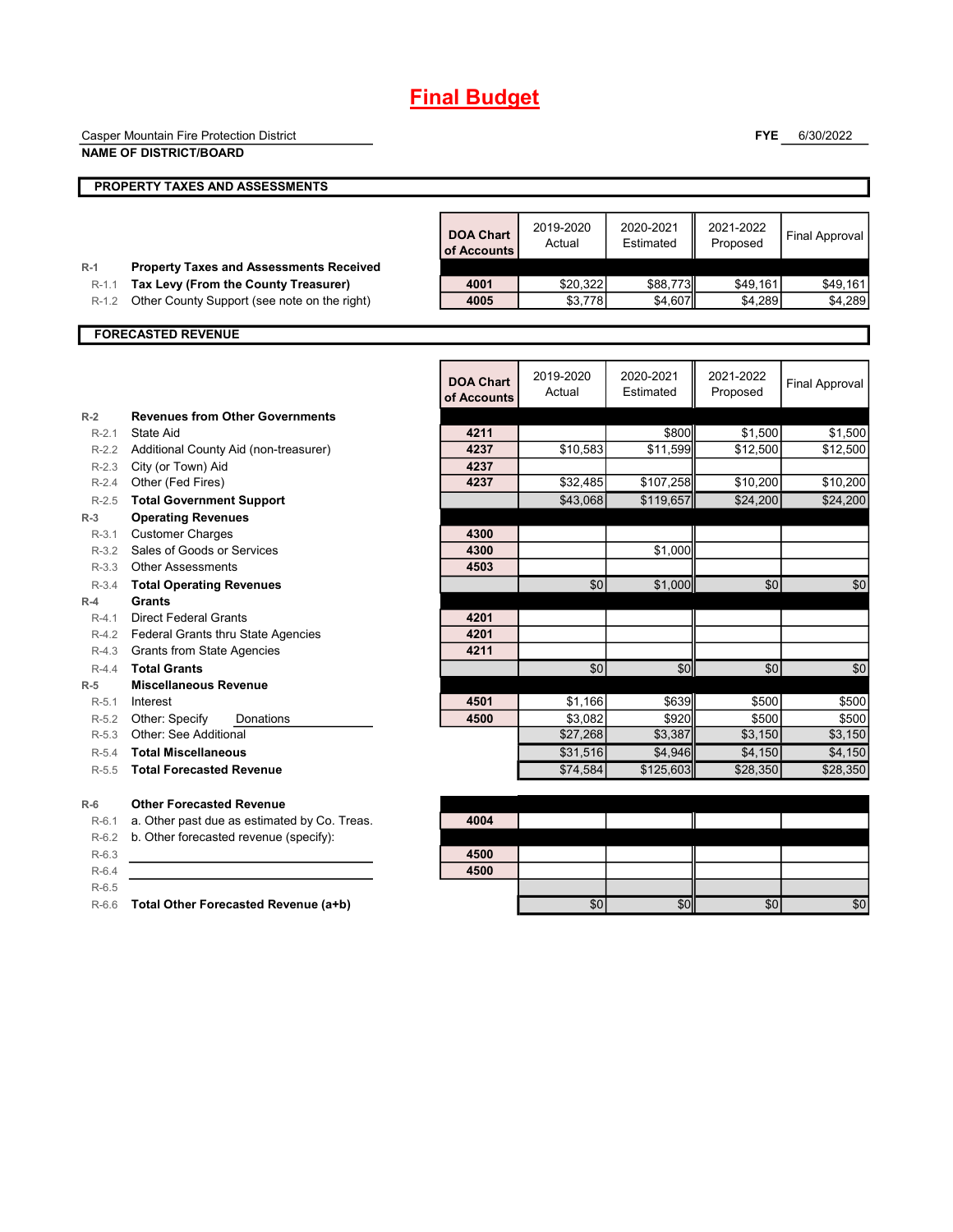# Final Budget

|           | Casper Mountain Fire Protection District       |                                 |                     |                        | <b>FYE</b>            | 6/30/2022             |
|-----------|------------------------------------------------|---------------------------------|---------------------|------------------------|-----------------------|-----------------------|
|           | <b>NAME OF DISTRICT/BOARD</b>                  |                                 |                     |                        |                       |                       |
|           | <b>PROPERTY TAXES AND ASSESSMENTS</b>          |                                 |                     |                        |                       |                       |
|           |                                                |                                 |                     |                        |                       |                       |
|           |                                                | <b>DOA Chart</b><br>of Accounts | 2019-2020<br>Actual | 2020-2021<br>Estimated | 2021-2022<br>Proposed | <b>Final Approval</b> |
| $R-1$     | <b>Property Taxes and Assessments Received</b> |                                 |                     |                        |                       |                       |
| $R-1.1$   | Tax Levy (From the County Treasurer)           | 4001                            | \$20,322            | \$88,773               | \$49,161              | \$49,161              |
| $R-1.2$   | Other County Support (see note on the right)   | 4005                            | \$3,778             | \$4,607                | \$4,289               | \$4,289               |
|           | <b>FORECASTED REVENUE</b>                      |                                 |                     |                        |                       |                       |
|           |                                                |                                 |                     |                        |                       |                       |
|           |                                                | <b>DOA Chart</b>                | 2019-2020           | 2020-2021              | 2021-2022             | <b>Final Approval</b> |
|           |                                                | of Accounts                     | Actual              | Estimated              | Proposed              |                       |
| $R-2$     | <b>Revenues from Other Governments</b>         |                                 |                     |                        |                       |                       |
| $R-2.1$   | <b>State Aid</b>                               | 4211                            |                     | \$800                  | \$1,500               | \$1,500               |
| $R-2.2$   | Additional County Aid (non-treasurer)          | 4237                            | \$10,583            | \$11,599               | \$12,500              | \$12,500              |
| $R-2.3$   | City (or Town) Aid                             | 4237                            |                     |                        |                       |                       |
| $R-2.4$   | Other (Fed Fires)                              | 4237                            | \$32,485            | \$107,258              | \$10,200              | \$10,200              |
| $R-2.5$   | <b>Total Government Support</b>                |                                 | \$43,068            | \$119,657              | \$24,200              | \$24,200              |
| $R-3$     | <b>Operating Revenues</b>                      |                                 |                     |                        |                       |                       |
| $R-3.1$   | <b>Customer Charges</b>                        | 4300                            |                     |                        |                       |                       |
| $R-3.2$   | Sales of Goods or Services                     | 4300                            |                     | \$1,000                |                       |                       |
| $R - 3.3$ | <b>Other Assessments</b>                       | 4503                            |                     |                        |                       |                       |
| $R-3.4$   | <b>Total Operating Revenues</b>                |                                 | \$0                 | \$1,000                | \$0                   | \$0                   |
| $R-4$     | Grants                                         |                                 |                     |                        |                       |                       |
| $R-4.1$   | <b>Direct Federal Grants</b>                   | 4201                            |                     |                        |                       |                       |
| $R-4.2$   | <b>Federal Grants thru State Agencies</b>      | 4201                            |                     |                        |                       |                       |
| $R-4.3$   | <b>Grants from State Agencies</b>              | 4211                            |                     |                        |                       |                       |
| $R-4.4$   | <b>Total Grants</b>                            |                                 | \$0                 | \$0                    | \$0                   | \$0                   |
| $R-5$     | <b>Miscellaneous Revenue</b>                   |                                 |                     |                        |                       |                       |
| $R-5.1$   | Interest                                       | 4501                            | \$1,166             | \$639                  | \$500                 | \$500                 |
| $R-5.2$   | Other: Specify<br>Donations                    | 4500                            | \$3,082             | \$920                  | \$500                 | \$500                 |
| $R-5.3$   | Other: See Additional                          |                                 | \$27,268            | \$3,387                | $\overline{$3,150}$   | \$3,150               |
| $R-5.4$   | <b>Total Miscellaneous</b>                     |                                 | \$31,516            | \$4,946                | \$4,150               | \$4,150               |
| $R-5.5$   | <b>Total Forecasted Revenue</b>                |                                 | \$74,584            | \$125,603              | \$28,350              | \$28,350              |
| $R-6$     | <b>Other Forecasted Revenue</b>                |                                 |                     |                        |                       |                       |
| $R-6.1$   | a. Other past due as estimated by Co. Treas.   | 4004                            |                     |                        |                       |                       |
| $R-6.2$   | b. Other forecasted revenue (specify):         |                                 |                     |                        |                       |                       |
| $R-6.3$   |                                                | 4500                            |                     |                        |                       |                       |
| $R-6.4$   |                                                | 4500                            |                     |                        |                       |                       |
| $R-6.5$   |                                                |                                 |                     |                        |                       |                       |

R-6.6 Total Other Forecasted Revenue (a+b)  $\overline{\text{S0}}$   $\overline{\text{S0}}$   $\overline{\text{S0}}$   $\overline{\text{S0}}$   $\overline{\text{S0}}$   $\overline{\text{S0}}$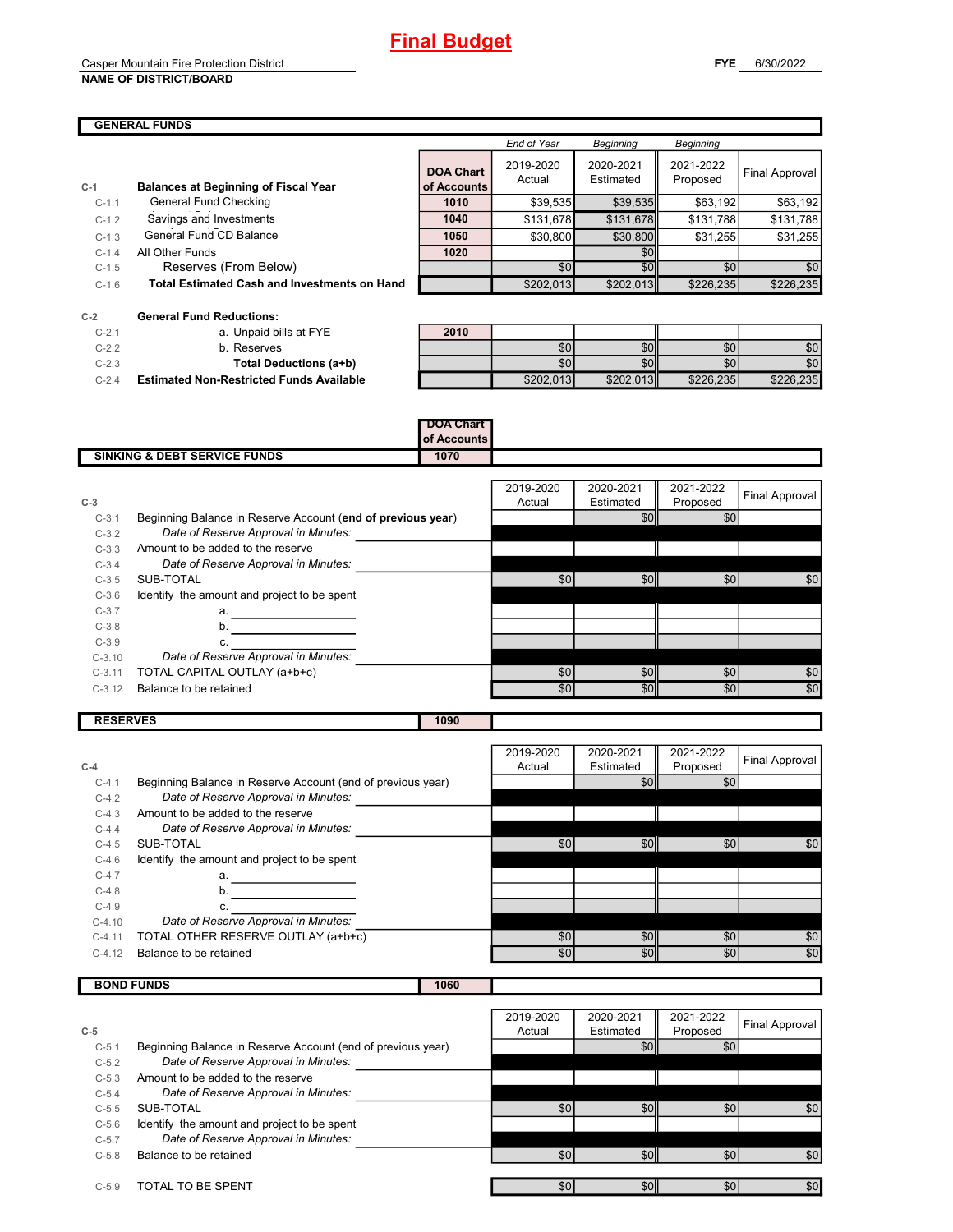## Final Budget

## Casper Mountain Fire Protection District

#### NAME OF DISTRICT/BOARD

## GENERAL FUNDS

|         |                                                     |                                 | <b>End of Year</b>  | <b>Beginning</b>       | Beginning             |                |
|---------|-----------------------------------------------------|---------------------------------|---------------------|------------------------|-----------------------|----------------|
| $C-1$   | <b>Balances at Beginning of Fiscal Year</b>         | <b>DOA Chart</b><br>of Accounts | 2019-2020<br>Actual | 2020-2021<br>Estimated | 2021-2022<br>Proposed | Final Approval |
| $C-1.1$ | General Fund Checking                               | 1010                            | \$39,535            | \$39,535               | \$63,192              | \$63,192       |
| $C-1.2$ | Savings and Investments                             | 1040                            | \$131,678           | \$131,678              | \$131,788             | \$131,788      |
| $C-1.3$ | General Fund CD Balance                             | 1050                            | \$30,800            | \$30,800               | \$31,255              | \$31,255       |
| $C-1.4$ | All Other Funds                                     | 1020                            |                     | <b>\$01</b>            |                       |                |
| $C-1.5$ | Reserves (From Below)                               |                                 | \$0                 | $\overline{50}$        | \$0                   | \$0            |
| $C-1.6$ | <b>Total Estimated Cash and Investments on Hand</b> |                                 | \$202,013           | \$202,013              | \$226,235             | \$226,235      |
|         |                                                     |                                 |                     |                        |                       |                |

| $C-2$     | <b>General Fund Reductions:</b>                 |      |
|-----------|-------------------------------------------------|------|
| $C - 21$  | a. Unpaid bills at FYE                          | 2010 |
| $C - 22$  | b. Reserves                                     |      |
| $C - 2.3$ | Total Deductions (a+b)                          |      |
| $C - 24$  | <b>Estimated Non-Restricted Funds Available</b> |      |

|           | <b>General Fund Reductions:</b>                 |      |                  |           |                  |                  |
|-----------|-------------------------------------------------|------|------------------|-----------|------------------|------------------|
| $C-2.1$   | a. Unpaid bills at FYE                          | 2010 |                  |           |                  |                  |
| $C-2.2$   | b. Reserves                                     |      | \$0              | \$0ll     | \$0 <sub>1</sub> | \$0              |
| $C-2.3$   | Total Deductions (a+b)                          |      | \$0 <sub>1</sub> | \$0ll     | \$0 <sub>1</sub> | \$0 <sub>1</sub> |
| $C - 2.4$ | <b>Estimated Non-Restricted Funds Available</b> |      | \$202,013        | \$202,013 | \$226,235        | \$226,235        |

|                                         | <b>DOA Chart</b><br><b>of Accounts</b> |  |
|-----------------------------------------|----------------------------------------|--|
| <b>SINKING &amp; DEBT SERVICE FUNDS</b> | 1070                                   |  |
|                                         |                                        |  |

| $C-3$    |                                                             | 2019-2020<br>Actual | 2020-2021<br>Estimated | 2021-2022<br>Proposed | <b>Final Approval</b> |
|----------|-------------------------------------------------------------|---------------------|------------------------|-----------------------|-----------------------|
| $C-3.1$  | Beginning Balance in Reserve Account (end of previous year) |                     | \$OI                   | \$0                   |                       |
| $C-3.2$  | Date of Reserve Approval in Minutes:                        |                     |                        |                       |                       |
| $C-3.3$  | Amount to be added to the reserve                           |                     |                        |                       |                       |
| $C-3.4$  | Date of Reserve Approval in Minutes:                        |                     |                        |                       |                       |
| $C-3.5$  | SUB-TOTAL                                                   | \$0                 | \$0ll                  | \$0                   | \$0                   |
| $C-3.6$  | Identify the amount and project to be spent                 |                     |                        |                       |                       |
| $C-3.7$  | a.                                                          |                     |                        |                       |                       |
| $C-3.8$  | b.                                                          |                     |                        |                       |                       |
| $C-3.9$  | c.                                                          |                     |                        |                       |                       |
| $C-3.10$ | Date of Reserve Approval in Minutes:                        |                     |                        |                       |                       |
| $C-3.11$ | TOTAL CAPITAL OUTLAY (a+b+c)                                | \$0                 | \$0                    | \$0                   | \$0                   |
| $C-3.12$ | Balance to be retained                                      | \$0                 | \$0l                   | \$0                   | \$0                   |

RESERVES 1090

|          |                                                             | 2019-2020 | 2020-2021        | 2021-2022 | Final Approval |
|----------|-------------------------------------------------------------|-----------|------------------|-----------|----------------|
| $C-4$    |                                                             | Actual    | Estimated        | Proposed  |                |
| $C-4.1$  | Beginning Balance in Reserve Account (end of previous year) |           | \$0              | \$0       |                |
| $C-4.2$  | Date of Reserve Approval in Minutes:                        |           |                  |           |                |
| $C-4.3$  | Amount to be added to the reserve                           |           |                  |           |                |
| $C-4.4$  | Date of Reserve Approval in Minutes:                        |           |                  |           |                |
| $C-4.5$  | SUB-TOTAL                                                   | \$0       | \$0              | \$0       | \$0            |
| $C-4.6$  | Identify the amount and project to be spent                 |           |                  |           |                |
| $C-4.7$  | a.                                                          |           |                  |           |                |
| $C-4.8$  | b.                                                          |           |                  |           |                |
| $C-4.9$  | c.                                                          |           |                  |           |                |
| $C-4.10$ | Date of Reserve Approval in Minutes:                        |           |                  |           |                |
| $C-4.11$ | TOTAL OTHER RESERVE OUTLAY (a+b+c)                          | \$0       | \$0 <sub>1</sub> | \$0       | \$0            |
| $C-4.12$ | Balance to be retained                                      | \$0       | \$0              | \$0       | \$0            |
|          |                                                             |           |                  |           |                |

| <b>BOND FUNDS</b> | 060 |  |
|-------------------|-----|--|
|                   |     |  |

|         |                                                             | 2019-2020 | 2020-2021        | 2021-2022        | Final Approval |
|---------|-------------------------------------------------------------|-----------|------------------|------------------|----------------|
| $C-5$   |                                                             | Actual    | Estimated        | Proposed         |                |
| $C-5.1$ | Beginning Balance in Reserve Account (end of previous year) |           | \$0 <sub>1</sub> | \$0              |                |
| $C-5.2$ | Date of Reserve Approval in Minutes:                        |           |                  |                  |                |
| $C-5.3$ | Amount to be added to the reserve                           |           |                  |                  |                |
| $C-5.4$ | Date of Reserve Approval in Minutes:                        |           |                  |                  |                |
| $C-5.5$ | SUB-TOTAL                                                   | \$0       | \$0 <sub>1</sub> | \$0              | \$0            |
| $C-5.6$ | Identify the amount and project to be spent                 |           |                  |                  |                |
| $C-5.7$ | Date of Reserve Approval in Minutes:                        |           |                  |                  |                |
| $C-5.8$ | Balance to be retained                                      | \$0       | \$0ll            | \$0 <sub>1</sub> | \$0            |
|         |                                                             |           |                  |                  |                |
| $C-5.9$ | TOTAL TO BE SPENT                                           | \$0       | \$0              | \$0              | \$0            |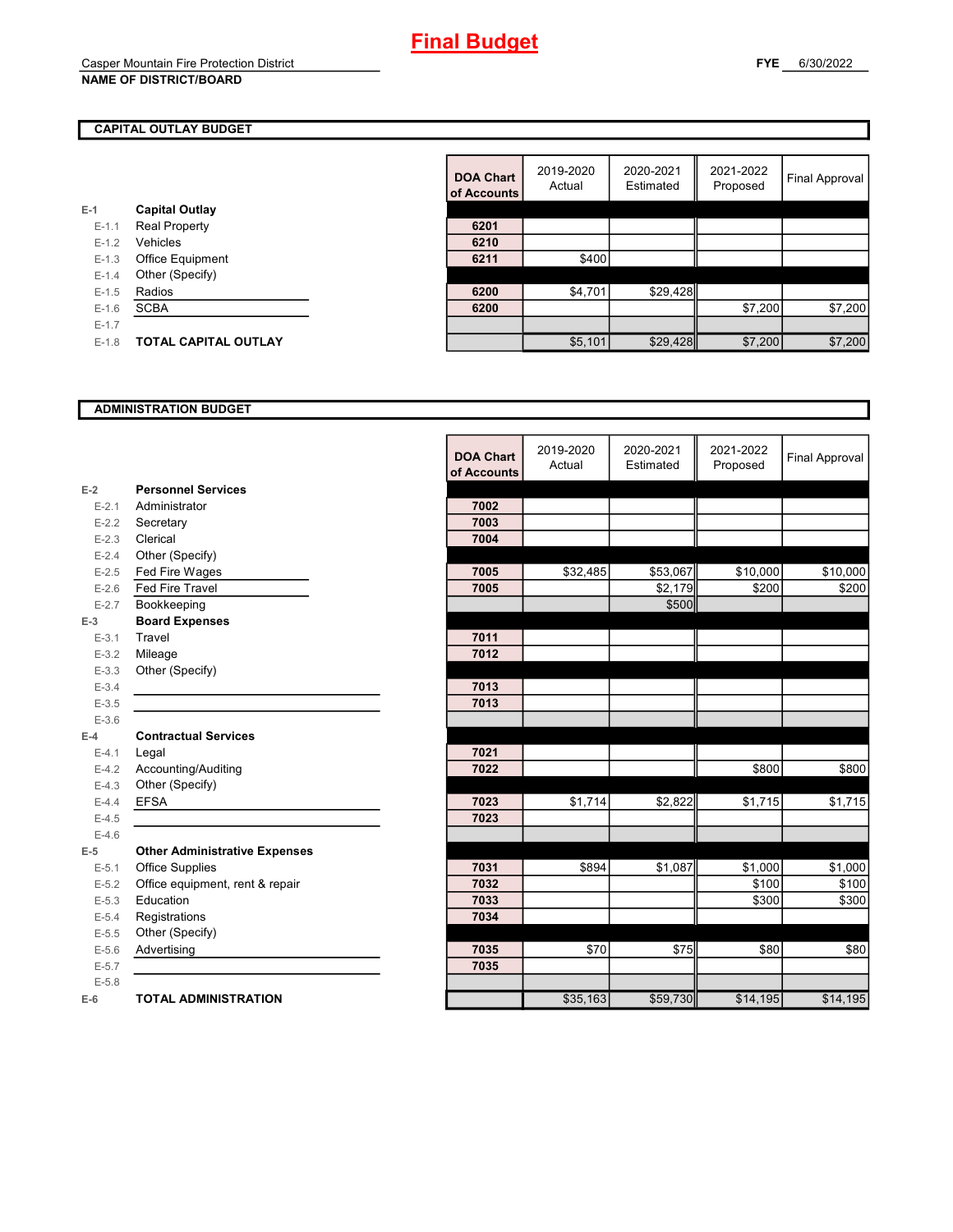### CAPITAL OUTLAY BUDGET

|           |                             | vi rwyvu |
|-----------|-----------------------------|----------|
| E-1       | <b>Capital Outlay</b>       |          |
| $E - 1.1$ | <b>Real Property</b>        | 6201     |
| $E - 1.2$ | Vehicles                    | 6210     |
| $E-1.3$   | <b>Office Equipment</b>     | 6211     |
| $E - 1.4$ | Other (Specify)             |          |
| $E-1.5$   | Radios                      | 6200     |
| $E - 1.6$ | <b>SCBA</b>                 | 6200     |
| $E - 1.7$ |                             |          |
| $E - 1.8$ | <b>TOTAL CAPITAL OUTLAY</b> |          |
|           |                             |          |

|           |                             | <b>DOA Chart</b><br>of Accounts | 2019-2020<br>Actual | 2020-2021<br>Estimated | 2021-2022<br>Proposed | <b>Final Approval</b> |
|-----------|-----------------------------|---------------------------------|---------------------|------------------------|-----------------------|-----------------------|
|           | <b>Capital Outlay</b>       |                                 |                     |                        |                       |                       |
| $E-1.1$   | <b>Real Property</b>        | 6201                            |                     |                        |                       |                       |
| $E-1.2$   | Vehicles                    | 6210                            |                     |                        |                       |                       |
| $E-1.3$   | Office Equipment            | 6211                            | \$400               |                        |                       |                       |
| $E-1.4$   | Other (Specify)             |                                 |                     |                        |                       |                       |
| $E-1.5$   | Radios                      | 6200                            | \$4,701             | \$29,428               |                       |                       |
| $E-1.6$   | <b>SCBA</b>                 | 6200                            |                     |                        | \$7,200               | \$7,200               |
| $E - 1.7$ |                             |                                 |                     |                        |                       |                       |
| $E-1.8$   | <b>TOTAL CAPITAL OUTLAY</b> |                                 | \$5,101             | \$29,428               | \$7,200               | \$7,200               |

#### ADMINISTRATION BUDGET

|           |                                      | <b>DOA Chart</b><br>of Accounts | 2019-2020<br>Actual | 2020-2021<br>Estimated | 2021-2022<br>Proposed | <b>Final Approval</b> |
|-----------|--------------------------------------|---------------------------------|---------------------|------------------------|-----------------------|-----------------------|
| $E-2$     | <b>Personnel Services</b>            |                                 |                     |                        |                       |                       |
| $E - 2.1$ | Administrator                        | 7002                            |                     |                        |                       |                       |
| $E - 2.2$ | Secretary                            | 7003                            |                     |                        |                       |                       |
| $E - 2.3$ | Clerical                             | 7004                            |                     |                        |                       |                       |
| $E - 2.4$ | Other (Specify)                      |                                 |                     |                        |                       |                       |
| $E-2.5$   | Fed Fire Wages                       | 7005                            | \$32,485            | \$53,067               | \$10,000              | \$10,000              |
| $E-2.6$   | <b>Fed Fire Travel</b>               | 7005                            |                     | \$2,179                | \$200                 | \$200                 |
| $E - 2.7$ | Bookkeeping                          |                                 |                     | \$500                  |                       |                       |
| $E-3$     | <b>Board Expenses</b>                |                                 |                     |                        |                       |                       |
| $E - 3.1$ | Travel                               | 7011                            |                     |                        |                       |                       |
| $E-3.2$   | Mileage                              | 7012                            |                     |                        |                       |                       |
| $E - 3.3$ | Other (Specify)                      |                                 |                     |                        |                       |                       |
| $E - 3.4$ |                                      | 7013                            |                     |                        |                       |                       |
| $E - 3.5$ |                                      | 7013                            |                     |                        |                       |                       |
| $E - 3.6$ |                                      |                                 |                     |                        |                       |                       |
| $E-4$     | <b>Contractual Services</b>          |                                 |                     |                        |                       |                       |
| $E-4.1$   | Legal                                | 7021                            |                     |                        |                       |                       |
| $E-4.2$   | Accounting/Auditing                  | 7022                            |                     |                        | \$800                 | \$800                 |
| $E-4.3$   | Other (Specify)                      |                                 |                     |                        |                       |                       |
| $E-4.4$   | <b>EFSA</b>                          | 7023                            | \$1,714             | \$2,822                | \$1,715               | \$1,715               |
| $E-4.5$   |                                      | 7023                            |                     |                        |                       |                       |
| $E-4.6$   |                                      |                                 |                     |                        |                       |                       |
| $E-5$     | <b>Other Administrative Expenses</b> |                                 |                     |                        |                       |                       |
| $E - 5.1$ | <b>Office Supplies</b>               | 7031                            | \$894               | \$1,087                | \$1,000               | \$1,000               |
| $E-5.2$   | Office equipment, rent & repair      | 7032                            |                     |                        | \$100                 | \$100                 |
| $E-5.3$   | Education                            | 7033                            |                     |                        | \$300                 | \$300                 |
| $E - 5.4$ | Registrations                        | 7034                            |                     |                        |                       |                       |
| $E-5.5$   | Other (Specify)                      |                                 |                     |                        |                       |                       |
| $E-5.6$   | Advertising                          | 7035                            | \$70                | \$75                   | \$80                  | \$80                  |
| $E-5.7$   |                                      | 7035                            |                     |                        |                       |                       |
| $E - 5.8$ |                                      |                                 |                     |                        |                       |                       |
| $E-6$     | <b>TOTAL ADMINISTRATION</b>          |                                 | \$35,163            | \$59,730               | \$14,195              | \$14,195              |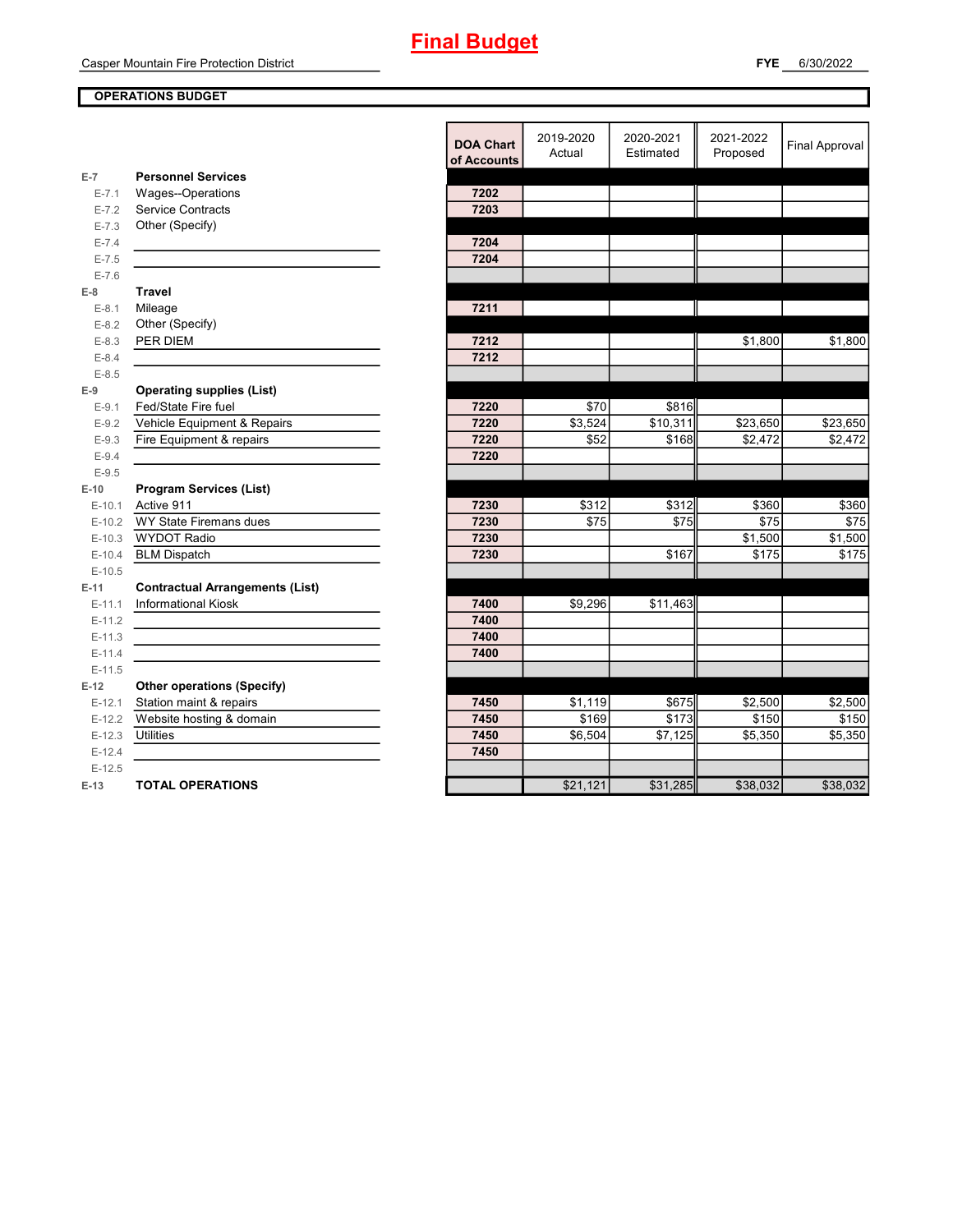### OPERATIONS BUDGET

|                        |                                             | <b>DOA Chart</b><br>of Accounts | 2019-2020<br>Actual | 2020-2021<br>Estimated | 2021-2022<br>Proposed | <b>Final Approval</b> |
|------------------------|---------------------------------------------|---------------------------------|---------------------|------------------------|-----------------------|-----------------------|
| $E-7$                  | <b>Personnel Services</b>                   |                                 |                     |                        |                       |                       |
| $E - 7.1$              | Wages--Operations                           | 7202                            |                     |                        |                       |                       |
| $E - 7.2$              | <b>Service Contracts</b><br>Other (Specify) | 7203                            |                     |                        |                       |                       |
| $E - 7.3$              |                                             |                                 |                     |                        |                       |                       |
| $E - 7.4$<br>$E - 7.5$ |                                             | 7204<br>7204                    |                     |                        |                       |                       |
| $E - 7.6$              |                                             |                                 |                     |                        |                       |                       |
| $E-8$                  | <b>Travel</b>                               |                                 |                     |                        |                       |                       |
| $E-8.1$                | Mileage                                     | 7211                            |                     |                        |                       |                       |
| $E-8.2$                | Other (Specify)                             |                                 |                     |                        |                       |                       |
| $E - 8.3$              | PER DIEM                                    | 7212                            |                     |                        | \$1,800               | \$1,800               |
| $E-8.4$                |                                             | 7212                            |                     |                        |                       |                       |
| $E - 8.5$              |                                             |                                 |                     |                        |                       |                       |
| $E-9$                  | <b>Operating supplies (List)</b>            |                                 |                     |                        |                       |                       |
| $E-9.1$                | Fed/State Fire fuel                         | 7220                            | \$70                | \$816                  |                       |                       |
| $E-9.2$                | Vehicle Equipment & Repairs                 | 7220                            | \$3,524             | \$10,311               | \$23,650              | \$23,650              |
| $E-9.3$                | Fire Equipment & repairs                    | 7220                            | \$52                | \$168                  | \$2,472               | \$2,472               |
| $E-9.4$                |                                             | 7220                            |                     |                        |                       |                       |
| $E-9.5$                |                                             |                                 |                     |                        |                       |                       |
| $E-10$                 | <b>Program Services (List)</b>              |                                 |                     |                        |                       |                       |
| $E-10.1$               | Active 911                                  | 7230                            | \$312               | \$312                  | \$360                 | \$360                 |
| $E-10.2$               | WY State Firemans dues                      | 7230                            | \$75                | \$75                   | \$75                  | \$75                  |
| $E-10.3$               | <b>WYDOT Radio</b>                          | 7230                            |                     |                        | \$1,500               | \$1,500               |
| $E-10.4$               | <b>BLM Dispatch</b>                         | 7230                            |                     | \$167                  | \$175                 | \$175                 |
| $E-10.5$               |                                             |                                 |                     |                        |                       |                       |
| $E-11$                 | <b>Contractual Arrangements (List)</b>      |                                 |                     |                        |                       |                       |
| $E-11.1$               | <b>Informational Kiosk</b>                  | 7400                            | \$9,296             | \$11,463               |                       |                       |
| $E-11.2$               |                                             | 7400                            |                     |                        |                       |                       |
| $E-11.3$               |                                             | 7400                            |                     |                        |                       |                       |
| $E-11.4$               |                                             | 7400                            |                     |                        |                       |                       |
| $E-11.5$               |                                             |                                 |                     |                        |                       |                       |
| $E-12$                 | <b>Other operations (Specify)</b>           |                                 |                     |                        |                       |                       |
| $E-12.1$               | Station maint & repairs                     | 7450                            | \$1,119             | \$675                  | \$2,500               | \$2,500               |
| $E-12.2$               | Website hosting & domain                    | 7450                            | \$169               | \$173                  | \$150                 | \$150                 |
| $E-12.3$               | <b>Utilities</b>                            | 7450                            | \$6,504             | $\overline{$7,125}$    | \$5,350               | \$5,350               |
| $E-12.4$               |                                             | 7450                            |                     |                        |                       |                       |
| $E-12.5$               |                                             |                                 |                     |                        |                       |                       |
| $E-13$                 | <b>TOTAL OPERATIONS</b>                     |                                 | \$21,121            | \$31,285               | \$38,032              | \$38,032              |